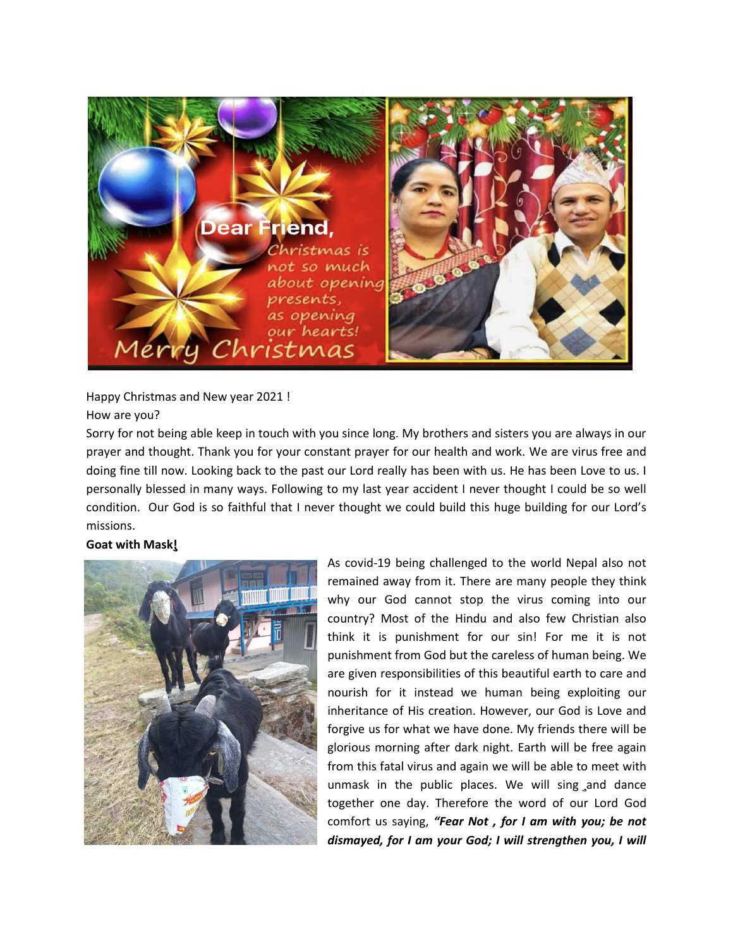

Happy Christmas and New year 2021 !

## How are you?

Sorry for not being able keep in touch with you since long. My brothers and sisters you are always in our prayer and thought. Thank you for your constant prayer for our health and work. We are virus free and doing fine till now. Looking back to the past our Lord really has been with us. He has been Love to us. I personally blessed in many ways. Following to my last year accident I never thought I could be so well condition. Our God is so faithful that I never thought we could build this huge building for our Lord's missions.

# **Goat with Mask!**'



As covid-19 being challenged to the world Nepal also not remained away from it. There are many people they think why our God cannot stop the virus coming into our country? Most of the Hindu and also few Christian also think it is punishment for our sin! For me it is not punishment from God but the careless of human being. We are given responsibilities of this beautiful earth to care and nourish for it instead we human being exploiting our inheritance of His creation. However, our God is Love and forgive us for what we have done. My friends there will be glorious morning after dark night. Earth will be free again from this fatal virus and again we will be able to meet with unmask in the public places. We will sing and dance together one day. Therefore the word of our Lord God comfort us saying, *"Fear Not , for I am with you; be not dismayed, for I am your God; I will strengthen you, I will*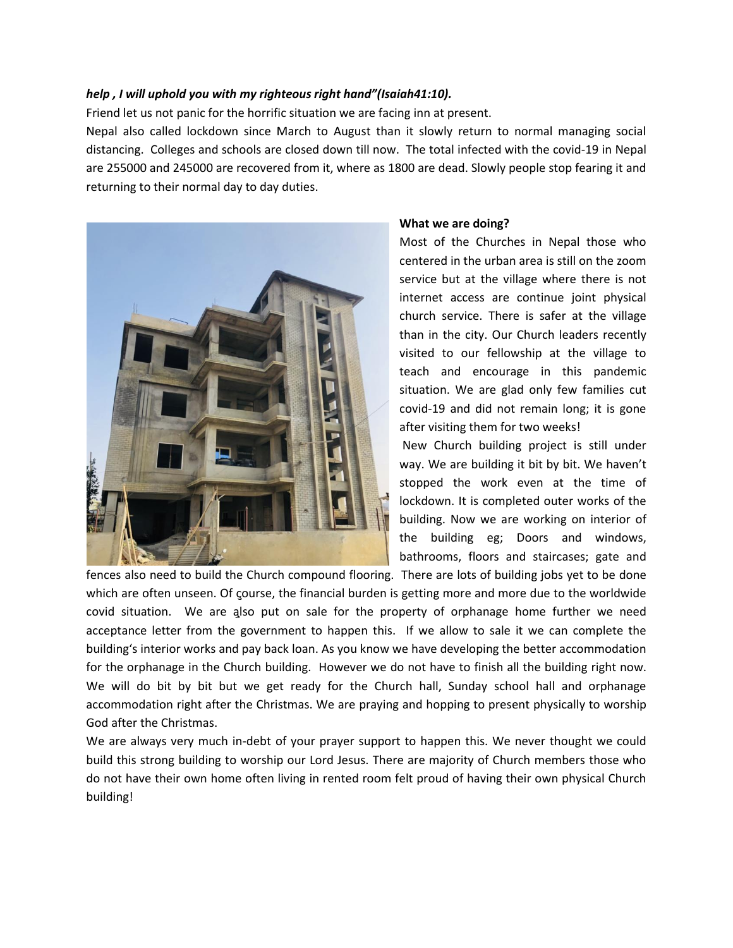### *help , I will uphold you with my righteous right hand"(Isaiah41:10).*

Friend let us not panic for the horrific situation we are facing inn at present.

Nepal also called lockdown since March to August than it slowly return to normal managing social distancing. Colleges and schools are closed down till now. The total infected with the covid-19 in Nepal are 255000 and 245000 are recovered from it, where as 1800 are dead. Slowly people stop fearing it and returning to their normal day to day duties.



#### **What we are doing?**

Most of the Churches in Nepal those who centered in the urban area is still on the zoom service but at the village where there is not internet access are continue joint physical church service. There is safer at the village than in the city. Our Church leaders recently visited to our fellowship at the village to teach and encourage in this pandemic situation. We are glad only few families cut covid-19 and did not remain long; it is gone after visiting them for two weeks!

New Church building project is still under way. We are building it bit by bit. We haven't stopped the work even at the time of lockdown. It is completed outer works of the building. Now we are working on interior of the building eg; Doors and windows, bathrooms, floors and staircases; gate and

fences also need to build the Church compound flooring. There are lots of building jobs yet to be done which are often unseen. Of course, the financial burden is getting more and more due to the worldwide covid situation. We are also put on sale for the property of orphanage home further we need acceptance letter from the government to happen this. If we allow to sale it we can complete the building's interior works and pay back loan. As you know we have developing the better accommodation for the orphanage in the Church building. However we do not have to finish all the building right now. We will do bit by bit but we get ready for the Church hall, Sunday school hall and orphanage accommodation right after the Christmas. We are praying and hopping to present physically to worship God after the Christmas.

We are always very much in-debt of your prayer support to happen this. We never thought we could build this strong building to worship our Lord Jesus. There are majority of Church members those who do not have their own home often living in rented room felt proud of having their own physical Church building!